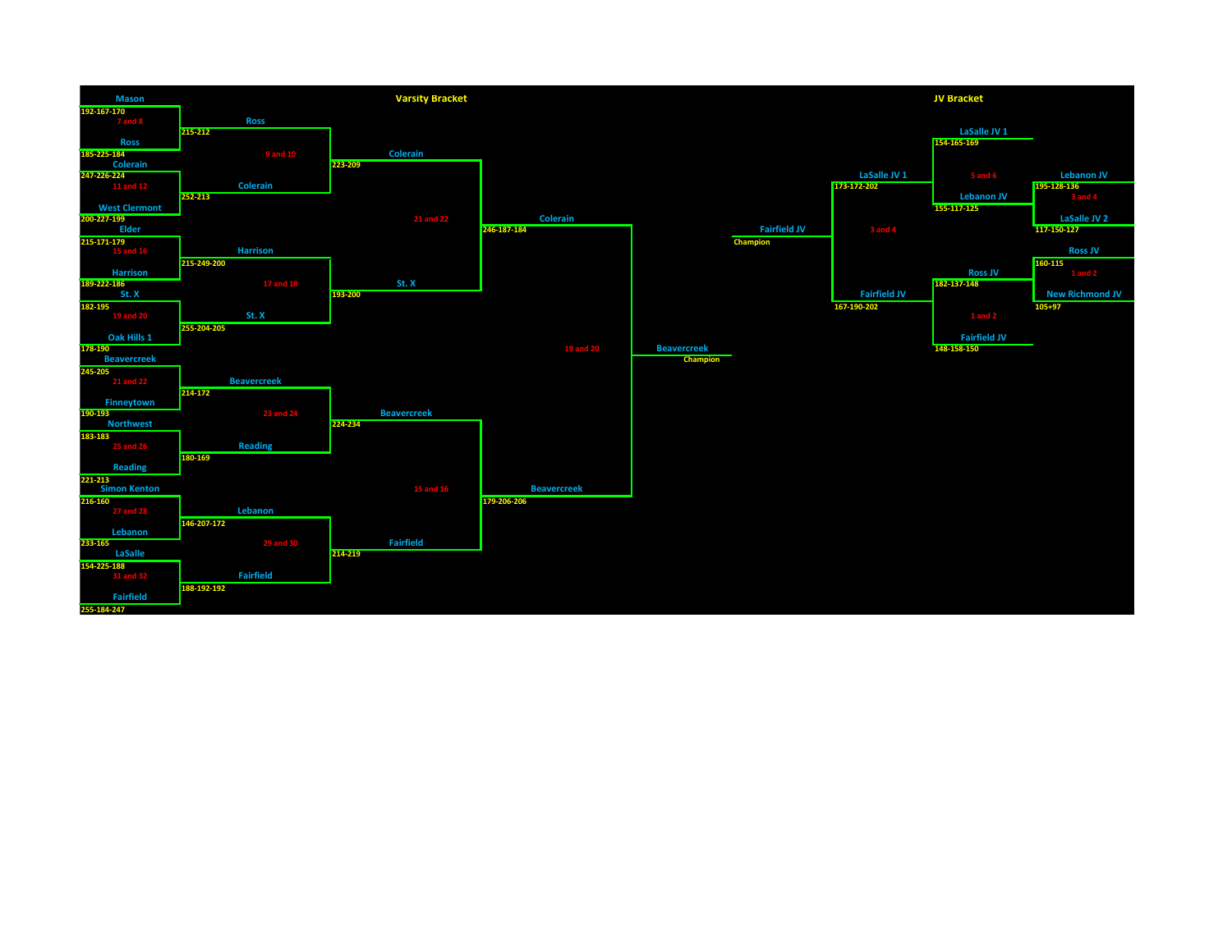